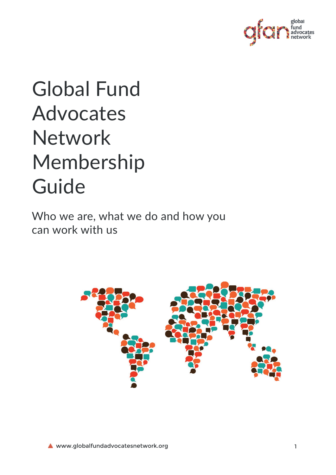

# Global Fund Advocates Network Membership Guide

Who we are, what we do and how you can work with us

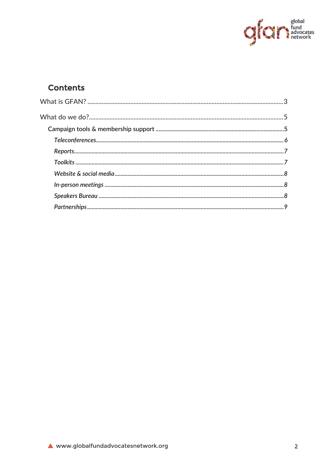

## **Contents**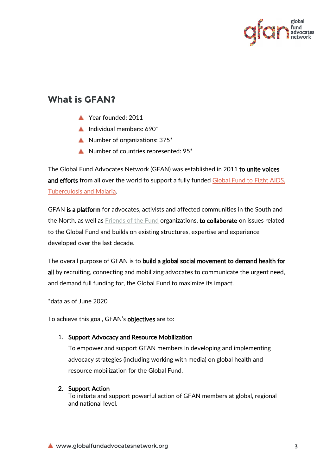

# <span id="page-2-0"></span>**What is GFAN?**

- Year founded: 2011
- Individual members:  $690*$
- Number of organizations: 375\*
- Number of countries represented: 95\*

The Global Fund Advocates Network (GFAN) was established in 2011 to unite voices and efforts from all over the world to support a fully funded Global Fund to Fight AIDS, [Tuberculosis and Malaria.](http://www.theglobalfund.org/)

GFAN is a platform for advocates, activists and affected communities in the South and the North, as well as [Friends of the Fund](http://www.theglobalfund.org/en/friends/) organizations, to collaborate on issues related to the Global Fund and builds on existing structures, expertise and experience developed over the last decade.

The overall purpose of GFAN is to build a global social movement to demand health for all by recruiting, connecting and mobilizing advocates to communicate the urgent need, and demand full funding for, the Global Fund to maximize its impact.

\*data as of June 2020

To achieve this goal, GFAN's **objectives** are to:

#### 1. Support Advocacy and Resource Mobilization

To empower and support GFAN members in developing and implementing advocacy strategies (including working with media) on global health and resource mobilization for the Global Fund.

#### 2. Support Action

To initiate and support powerful action of GFAN members at global, regional and national level.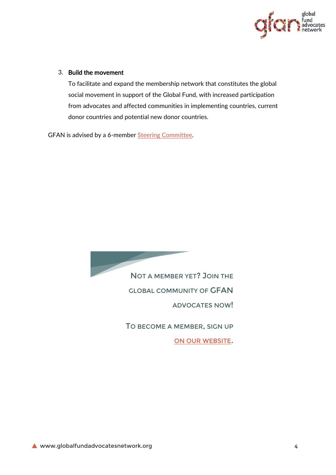

#### 3. Build the movement

To facilitate and expand the membership network that constitutes the global social movement in support of the Global Fund, with increased participation from advocates and affected communities in implementing countries, current donor countries and potential new donor countries.

GFAN is advised by a 6-member [Steering Committee.](http://www.globalfundadvocatesnetwork.org/wp-content/uploads/2014/07/Global-Fund-Advocates-Network-SC-ToR-March-2015.pdf)

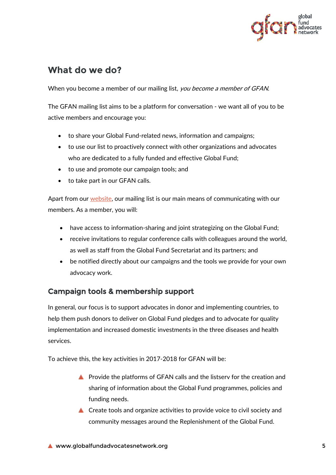

# <span id="page-4-0"></span>**What do we do?**

When you become a member of our mailing list, you become a member of GFAN.

The GFAN mailing list aims to be a platform for conversation - we want all of you to be active members and encourage you:

- to share your Global Fund-related news, information and campaigns;
- to use our list to proactively connect with other organizations and advocates who are dedicated to a fully funded and effective Global Fund;
- to use and promote our campaign tools; and
- to take part in our GFAN calls.

Apart from our [website,](http://www.globalfundadvocatesnetwork.org/) our mailing list is our main means of communicating with our members. As a member, you will:

- have access to information-sharing and joint strategizing on the Global Fund;
- receive invitations to regular conference calls with colleagues around the world, as well as staff from the Global Fund Secretariat and its partners; and
- be notified directly about our campaigns and the tools we provide for your own advocacy work.

## <span id="page-4-1"></span>Campaign tools & membership support

In general, our focus is to support advocates in donor and implementing countries, to help them push donors to deliver on Global Fund pledges and to advocate for quality implementation and increased domestic investments in the three diseases and health services.

To achieve this, the key activities in 2017-2018 for GFAN will be:

- **A** Provide the platforms of GFAN calls and the listserv for the creation and sharing of information about the Global Fund programmes, policies and funding needs.
- ▲ Create tools and organize activities to provide voice to civil society and community messages around the Replenishment of the Global Fund.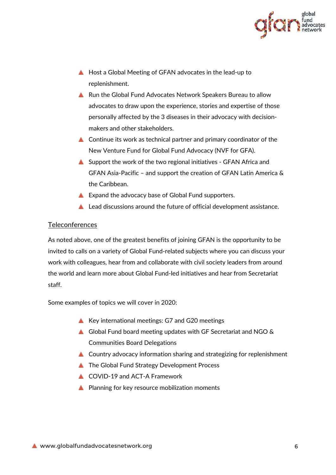

- ▲ Host a Global Meeting of GFAN advocates in the lead-up to replenishment.
- ▲ Run the Global Fund Advocates Network Speakers Bureau to allow advocates to draw upon the experience, stories and expertise of those personally affected by the 3 diseases in their advocacy with decisionmakers and other stakeholders.
- ▲ Continue its work as technical partner and primary coordinator of the New Venture Fund for Global Fund Advocacy (NVF for GFA).
- Support the work of the two regional initiatives GFAN Africa and GFAN Asia-Pacific – and support the creation of GFAN Latin America & the Caribbean.
- Expand the advocacy base of Global Fund supporters.
- ▲ Lead discussions around the future of official development assistance.

#### <span id="page-5-0"></span>**Teleconferences**

As noted above, one of the greatest benefits of joining GFAN is the opportunity to be invited to calls on a variety of Global Fund-related subjects where you can discuss your work with colleagues, hear from and collaborate with civil society leaders from around the world and learn more about Global Fund-led initiatives and hear from Secretariat staff.

Some examples of topics we will cover in 2020:

- Key international meetings: G7 and G20 meetings
- Global Fund board meeting updates with GF Secretariat and NGO & Communities Board Delegations
- Country advocacy information sharing and strategizing for replenishment
- ▲ The Global Fund Strategy Development Process
- **COVID-19 and ACT-A Framework**
- **▲ Planning for key resource mobilization moments**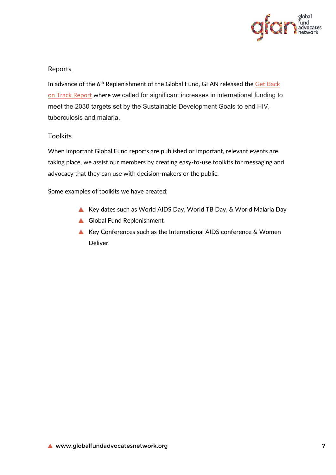

## <span id="page-6-0"></span>Reports

In advance of the 6<sup>th</sup> Replenishment of the Global Fund, GFAN released the Get Back [on Track Report](https://www.globalfundadvocatesnetwork.org/campaign/get-back-on-track/) where we called for significant increases in international funding to meet the 2030 targets set by the Sustainable Development Goals to end HIV, tuberculosis and malaria.

### <span id="page-6-1"></span>**Toolkits**

When important Global Fund reports are published or important, relevant events are taking place, we assist our members by creating easy-to-use toolkits for messaging and advocacy that they can use with decision-makers or the public.

Some examples of toolkits we have created:

- Key dates such as World AIDS Day, World TB Day, & World Malaria Day
- Global Fund Replenishment
- Key Conferences such as the International AIDS conference & Women Deliver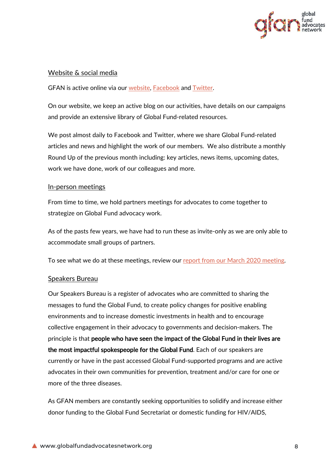

#### <span id="page-7-0"></span>Website & social media

GFAN is active online via our [website,](http://www.globalfundadvocatesnetwork.org/) [Facebook](https://www.facebook.com/HereIAmCampaign) and [Twitter.](https://twitter.com/GFAdvocates)

On our website, we keep an active blog on our activities, have details on our campaigns and provide an extensive library of Global Fund-related resources.

We post almost daily to Facebook and Twitter, where we share Global Fund-related articles and news and highlight the work of our members. We also distribute a monthly Round Up of the previous month including: key articles, news items, upcoming dates, work we have done, work of our colleagues and more.

#### <span id="page-7-1"></span>In-person meetings

From time to time, we hold partners meetings for advocates to come together to strategize on Global Fund advocacy work.

As of the pasts few years, we have had to run these as invite-only as we are only able to accommodate small groups of partners.

To see what we do at these meetings, review our [report from our March 2020](https://www.globalfundadvocatesnetwork.org/gfan-global-meeting/) meeting.

#### <span id="page-7-2"></span>Speakers Bureau

Our Speakers Bureau is a register of advocates who are committed to sharing the messages to fund the Global Fund, to create policy changes for positive enabling environments and to increase domestic investments in health and to encourage collective engagement in their advocacy to governments and decision-makers. The principle is that people who have seen the impact of the Global Fund in their lives are the most impactful spokespeople for the Global Fund. Each of our speakers are currently or have in the past accessed Global Fund-supported programs and are active advocates in their own communities for prevention, treatment and/or care for one or more of the three diseases.

As GFAN members are constantly seeking opportunities to solidify and increase either donor funding to the Global Fund Secretariat or domestic funding for HIV/AIDS,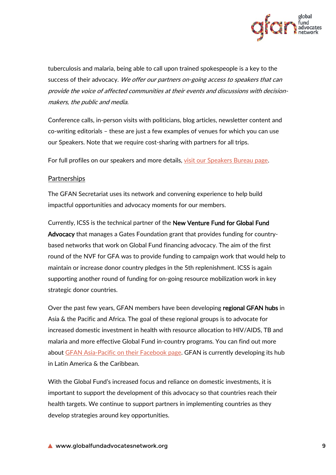

tuberculosis and malaria, being able to call upon trained spokespeople is a key to the success of their advocacy. We offer our partners on-going access to speakers that can provide the voice of affected communities at their events and discussions with decisionmakers, the public and media.

Conference calls, in-person visits with politicians, blog articles, newsletter content and co-writing editorials – these are just a few examples of venues for which you can use our Speakers. Note that we require cost-sharing with partners for all trips.

For full profiles on our speakers and more details, [visit our Speakers Bureau page.](http://www.globalfundadvocatesnetwork.org/campaign/gfan-speakers-bureau/)

#### <span id="page-8-0"></span>Partnerships

The GFAN Secretariat uses its network and convening experience to help build impactful opportunities and advocacy moments for our members.

Currently, ICSS is the technical partner of the New Venture Fund for Global Fund Advocacy that manages a Gates Foundation grant that provides funding for countrybased networks that work on Global Fund financing advocacy. The aim of the first round of the NVF for GFA was to provide funding to campaign work that would help to maintain or increase donor country pledges in the 5th replenishment. ICSS is again supporting another round of funding for on-going resource mobilization work in key strategic donor countries.

Over the past few years, GFAN members have been developing regional GFAN hubs in Asia & the Pacific and Africa. The goal of these regional groups is to advocate for increased domestic investment in health with resource allocation to HIV/AIDS, TB and malaria and more effective Global Fund in-country programs. You can find out more about [GFAN Asia-Pacific on their Facebook page.](https://www.facebook.com/gfanasiapacific/) GFAN is currently developing its hub in Latin America & the Caribbean.

With the Global Fund's increased focus and reliance on domestic investments, it is important to support the development of this advocacy so that countries reach their health targets. We continue to support partners in implementing countries as they develop strategies around key opportunities.